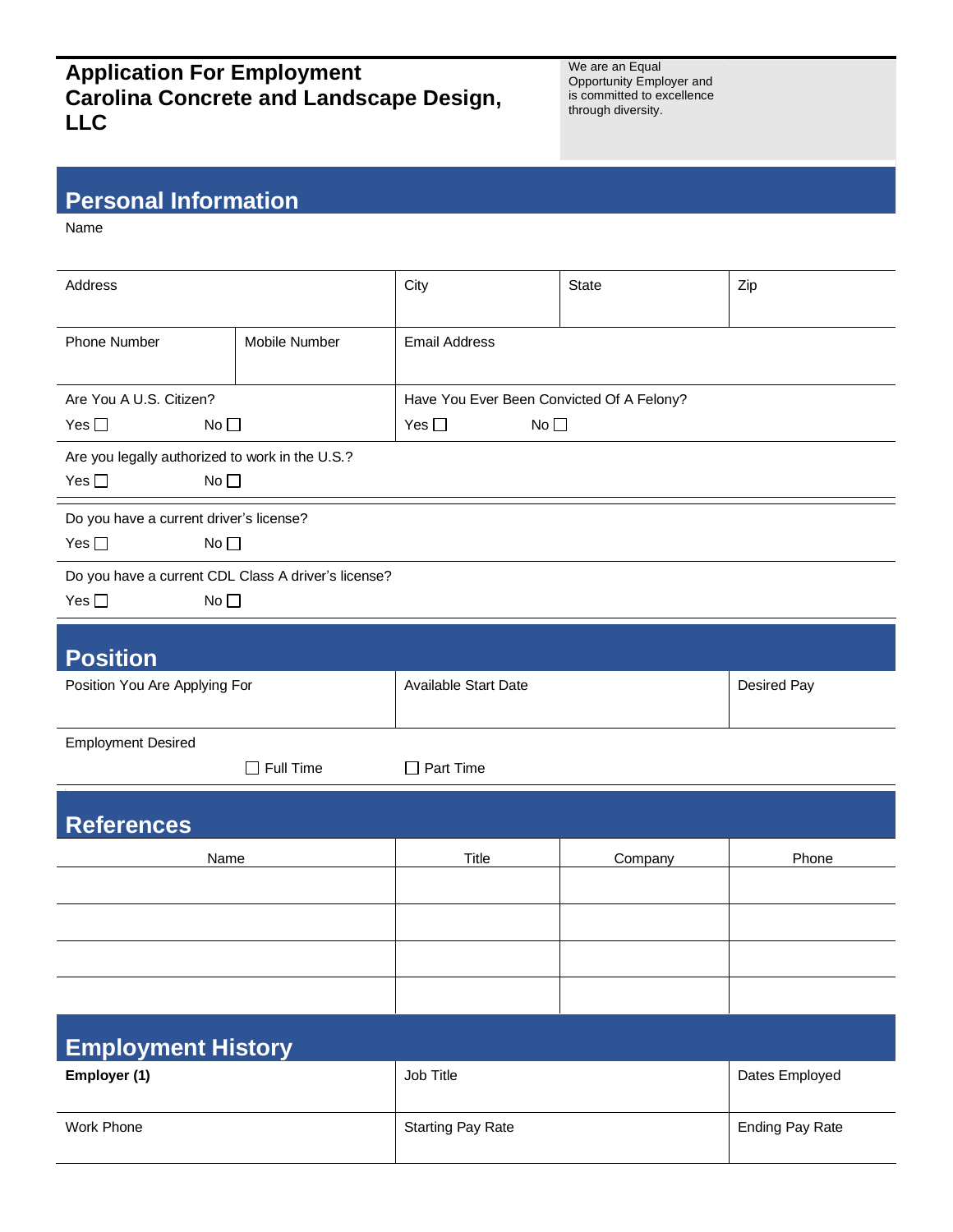## **Application For Employment Carolina Concrete and Landscape Design, LLC**

We are an Equal Opportunity Employer and is committed to excellence through diversity.

## **Personal Information**

Name

| Address                                             |                 | City                                      | <b>State</b>        | Zip                |  |
|-----------------------------------------------------|-----------------|-------------------------------------------|---------------------|--------------------|--|
|                                                     |                 |                                           |                     |                    |  |
| <b>Phone Number</b>                                 | Mobile Number   | <b>Email Address</b>                      |                     |                    |  |
|                                                     |                 |                                           |                     |                    |  |
| Are You A U.S. Citizen?                             |                 | Have You Ever Been Convicted Of A Felony? |                     |                    |  |
| Yes $\square$                                       | No <sub>1</sub> |                                           | Yes $\square$<br>No |                    |  |
| Are you legally authorized to work in the U.S.?     |                 |                                           |                     |                    |  |
| Yes $\square$<br>No <sub>1</sub>                    |                 |                                           |                     |                    |  |
| Do you have a current driver's license?             |                 |                                           |                     |                    |  |
| Yes $\square$<br>No <sub>1</sub>                    |                 |                                           |                     |                    |  |
| Do you have a current CDL Class A driver's license? |                 |                                           |                     |                    |  |
| Yes $\square$<br>No <sub>1</sub>                    |                 |                                           |                     |                    |  |
|                                                     |                 |                                           |                     |                    |  |
| <b>Position</b>                                     |                 |                                           |                     |                    |  |
| Position You Are Applying For                       |                 | Available Start Date                      |                     | <b>Desired Pay</b> |  |
| <b>Employment Desired</b>                           |                 |                                           |                     |                    |  |
| $\Box$ Full Time                                    |                 | Part Time<br>$\mathsf{L}$                 |                     |                    |  |
|                                                     |                 |                                           |                     |                    |  |
| <b>References</b>                                   |                 |                                           |                     |                    |  |
| Name                                                |                 | Title                                     | Company             | Phone              |  |
|                                                     |                 |                                           |                     |                    |  |
|                                                     |                 |                                           |                     |                    |  |
|                                                     |                 |                                           |                     |                    |  |
|                                                     |                 |                                           |                     |                    |  |
|                                                     |                 |                                           |                     |                    |  |
| <b>Employment History</b>                           |                 |                                           |                     |                    |  |
| Employer (1)                                        |                 | Job Title                                 |                     | Dates Employed     |  |

| Work<br>: Phone | Starting<br>Pay Rate | $\sim$<br>Pay Rate<br>_ndinc |
|-----------------|----------------------|------------------------------|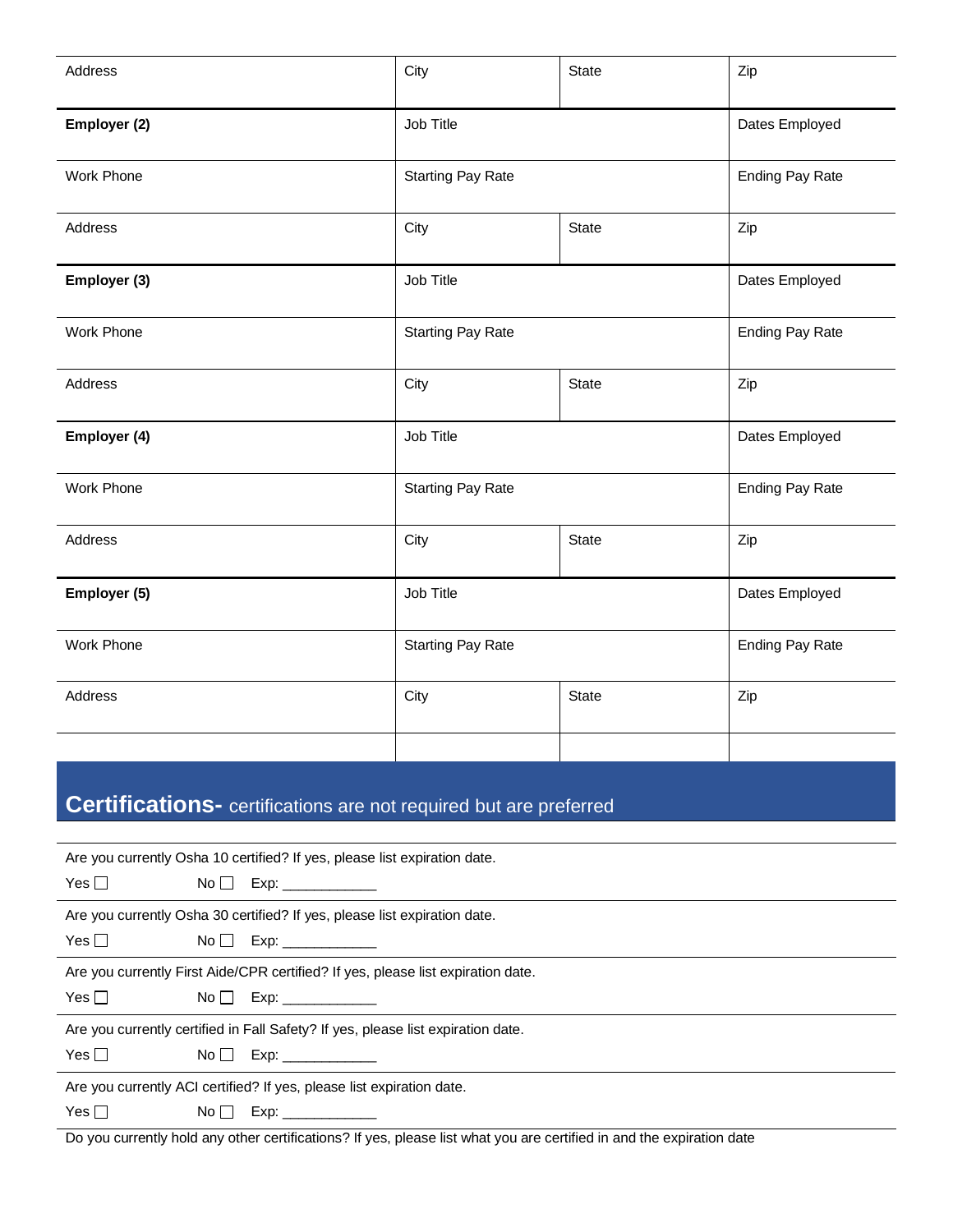| Address      | City                     | <b>State</b> | Zip                    |
|--------------|--------------------------|--------------|------------------------|
| Employer (2) | Job Title                |              | Dates Employed         |
| Work Phone   | <b>Starting Pay Rate</b> |              | <b>Ending Pay Rate</b> |
| Address      | City                     | State        | Zip                    |
| Employer (3) | Job Title                |              | Dates Employed         |
| Work Phone   | <b>Starting Pay Rate</b> |              | <b>Ending Pay Rate</b> |
| Address      | City                     | <b>State</b> | Zip                    |
| Employer (4) | Job Title                |              | Dates Employed         |
| Work Phone   | <b>Starting Pay Rate</b> |              | <b>Ending Pay Rate</b> |
| Address      | City                     | State        | Zip                    |
| Employer (5) | Job Title                |              | Dates Employed         |
| Work Phone   | <b>Starting Pay Rate</b> |              | <b>Ending Pay Rate</b> |
| Address      | City                     | <b>State</b> | Zip                    |
|              |                          |              |                        |

## **Certifications-** certifications are not required but are preferred

| Are you currently Osha 10 certified? If yes, please list expiration date.        |                                                                                                                                                                                                                                |  |
|----------------------------------------------------------------------------------|--------------------------------------------------------------------------------------------------------------------------------------------------------------------------------------------------------------------------------|--|
| Yes $\Box$                                                                       |                                                                                                                                                                                                                                |  |
| Are you currently Osha 30 certified? If yes, please list expiration date.        |                                                                                                                                                                                                                                |  |
| Yes $\Box$                                                                       |                                                                                                                                                                                                                                |  |
| Are you currently First Aide/CPR certified? If yes, please list expiration date. |                                                                                                                                                                                                                                |  |
| Yes $\Box$                                                                       |                                                                                                                                                                                                                                |  |
| Are you currently certified in Fall Safety? If yes, please list expiration date. |                                                                                                                                                                                                                                |  |
| Yes $\Box$                                                                       |                                                                                                                                                                                                                                |  |
| Are you currently ACI certified? If yes, please list expiration date.            |                                                                                                                                                                                                                                |  |
| Yes $\Box$<br>$\overline{\mathsf{No}}$ $\overline{\mathsf{b}}$                   | Exp: the contract of the contract of the contract of the contract of the contract of the contract of the contract of the contract of the contract of the contract of the contract of the contract of the contract of the contr |  |

Do you currently hold any other certifications? If yes, please list what you are certified in and the expiration date